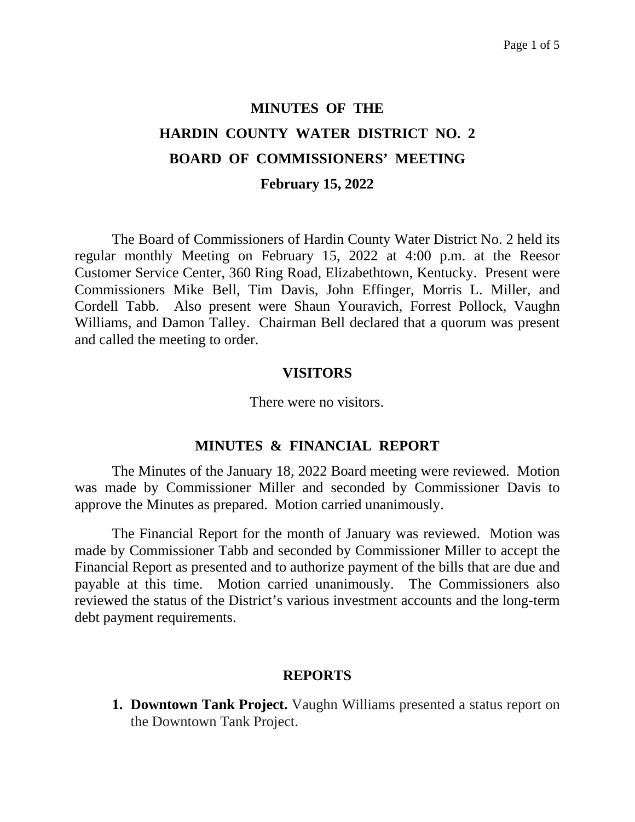# **MINUTES OF THE HARDIN COUNTY WATER DISTRICT NO. 2 BOARD OF COMMISSIONERS' MEETING February 15, 2022**

The Board of Commissioners of Hardin County Water District No. 2 held its regular monthly Meeting on February 15, 2022 at 4:00 p.m. at the Reesor Customer Service Center, 360 Ring Road, Elizabethtown, Kentucky. Present were Commissioners Mike Bell, Tim Davis, John Effinger, Morris L. Miller, and Cordell Tabb. Also present were Shaun Youravich, Forrest Pollock, Vaughn Williams, and Damon Talley. Chairman Bell declared that a quorum was present and called the meeting to order.

### **VISITORS**

There were no visitors.

### **MINUTES & FINANCIAL REPORT**

The Minutes of the January 18, 2022 Board meeting were reviewed. Motion was made by Commissioner Miller and seconded by Commissioner Davis to approve the Minutes as prepared. Motion carried unanimously.

The Financial Report for the month of January was reviewed. Motion was made by Commissioner Tabb and seconded by Commissioner Miller to accept the Financial Report as presented and to authorize payment of the bills that are due and payable at this time. Motion carried unanimously. The Commissioners also reviewed the status of the District's various investment accounts and the long-term debt payment requirements.

### **REPORTS**

**1. Downtown Tank Project.** Vaughn Williams presented a status report on the Downtown Tank Project.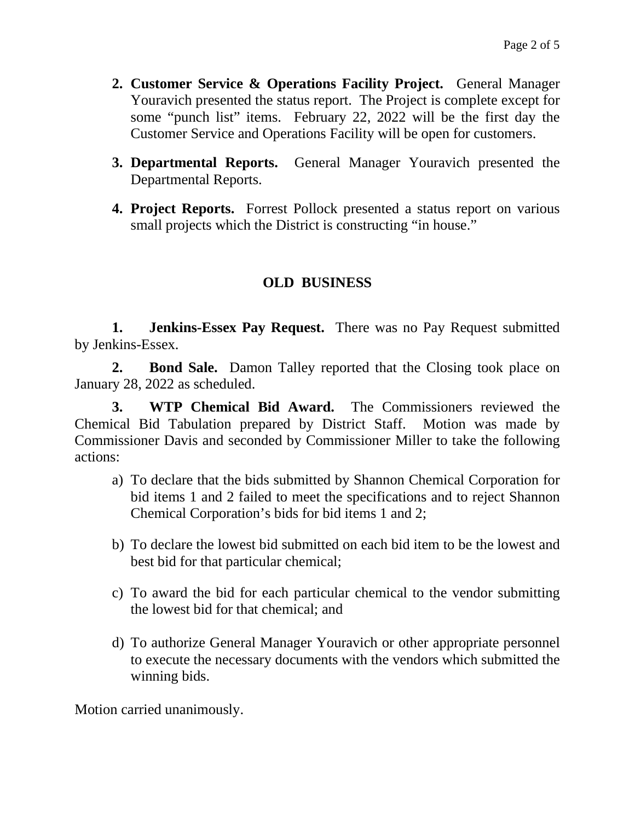- **2. Customer Service & Operations Facility Project.** General Manager Youravich presented the status report. The Project is complete except for some "punch list" items. February 22, 2022 will be the first day the Customer Service and Operations Facility will be open for customers.
- **3. Departmental Reports.** General Manager Youravich presented the Departmental Reports.
- **4. Project Reports.** Forrest Pollock presented a status report on various small projects which the District is constructing "in house."

# **OLD BUSINESS**

**1. Jenkins-Essex Pay Request.** There was no Pay Request submitted by Jenkins-Essex.

**2. Bond Sale.** Damon Talley reported that the Closing took place on January 28, 2022 as scheduled.

**3. WTP Chemical Bid Award.** The Commissioners reviewed the Chemical Bid Tabulation prepared by District Staff. Motion was made by Commissioner Davis and seconded by Commissioner Miller to take the following actions:

- a) To declare that the bids submitted by Shannon Chemical Corporation for bid items 1 and 2 failed to meet the specifications and to reject Shannon Chemical Corporation's bids for bid items 1 and 2;
- b) To declare the lowest bid submitted on each bid item to be the lowest and best bid for that particular chemical;
- c) To award the bid for each particular chemical to the vendor submitting the lowest bid for that chemical; and
- d) To authorize General Manager Youravich or other appropriate personnel to execute the necessary documents with the vendors which submitted the winning bids.

Motion carried unanimously.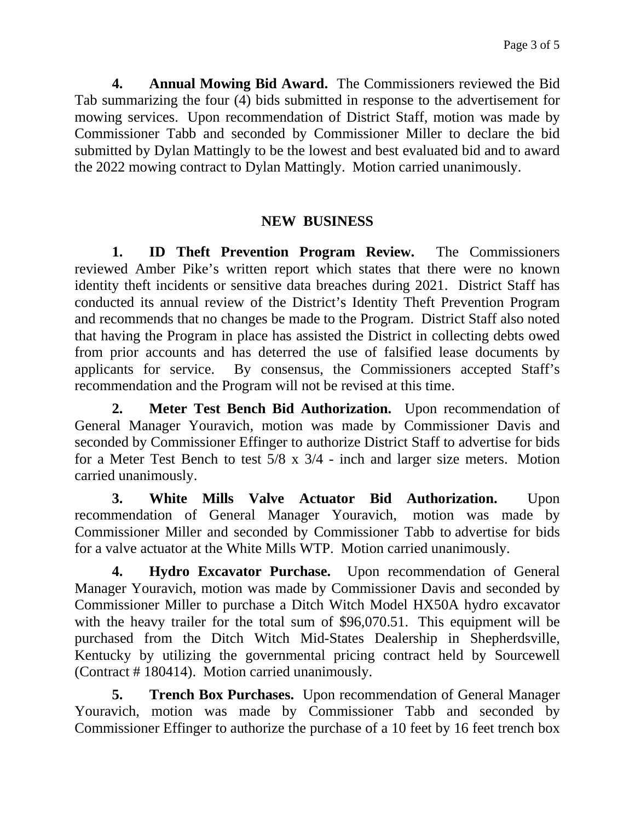**4. Annual Mowing Bid Award.** The Commissioners reviewed the Bid Tab summarizing the four (4) bids submitted in response to the advertisement for mowing services. Upon recommendation of District Staff, motion was made by Commissioner Tabb and seconded by Commissioner Miller to declare the bid submitted by Dylan Mattingly to be the lowest and best evaluated bid and to award the 2022 mowing contract to Dylan Mattingly. Motion carried unanimously.

## **NEW BUSINESS**

**1. ID Theft Prevention Program Review.** The Commissioners reviewed Amber Pike's written report which states that there were no known identity theft incidents or sensitive data breaches during 2021. District Staff has conducted its annual review of the District's Identity Theft Prevention Program and recommends that no changes be made to the Program. District Staff also noted that having the Program in place has assisted the District in collecting debts owed from prior accounts and has deterred the use of falsified lease documents by applicants for service. By consensus, the Commissioners accepted Staff's recommendation and the Program will not be revised at this time.

**2. Meter Test Bench Bid Authorization.** Upon recommendation of General Manager Youravich, motion was made by Commissioner Davis and seconded by Commissioner Effinger to authorize District Staff to advertise for bids for a Meter Test Bench to test 5/8 x 3/4 - inch and larger size meters. Motion carried unanimously.

**3. White Mills Valve Actuator Bid Authorization.** Upon recommendation of General Manager Youravich, motion was made by Commissioner Miller and seconded by Commissioner Tabb to advertise for bids for a valve actuator at the White Mills WTP. Motion carried unanimously.

**4. Hydro Excavator Purchase.** Upon recommendation of General Manager Youravich, motion was made by Commissioner Davis and seconded by Commissioner Miller to purchase a Ditch Witch Model HX50A hydro excavator with the heavy trailer for the total sum of \$96,070.51. This equipment will be purchased from the Ditch Witch Mid-States Dealership in Shepherdsville, Kentucky by utilizing the governmental pricing contract held by Sourcewell (Contract # 180414). Motion carried unanimously.

**5. Trench Box Purchases.** Upon recommendation of General Manager Youravich, motion was made by Commissioner Tabb and seconded by Commissioner Effinger to authorize the purchase of a 10 feet by 16 feet trench box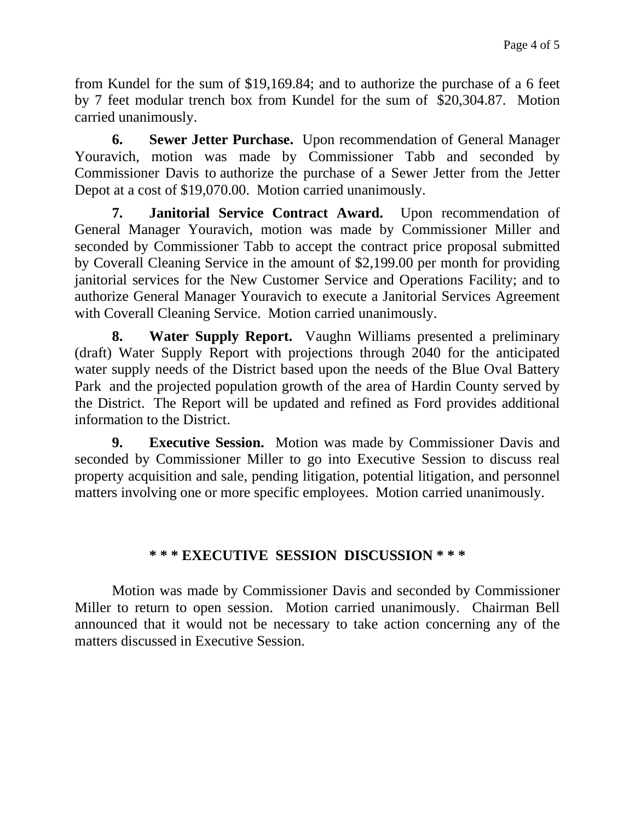from Kundel for the sum of \$19,169.84; and to authorize the purchase of a 6 feet by 7 feet modular trench box from Kundel for the sum of \$20,304.87. Motion carried unanimously.

**6. Sewer Jetter Purchase.** Upon recommendation of General Manager Youravich, motion was made by Commissioner Tabb and seconded by Commissioner Davis to authorize the purchase of a Sewer Jetter from the Jetter Depot at a cost of \$19,070.00. Motion carried unanimously.

**7. Janitorial Service Contract Award.** Upon recommendation of General Manager Youravich, motion was made by Commissioner Miller and seconded by Commissioner Tabb to accept the contract price proposal submitted by Coverall Cleaning Service in the amount of \$2,199.00 per month for providing janitorial services for the New Customer Service and Operations Facility; and to authorize General Manager Youravich to execute a Janitorial Services Agreement with Coverall Cleaning Service. Motion carried unanimously.

**8. Water Supply Report.** Vaughn Williams presented a preliminary (draft) Water Supply Report with projections through 2040 for the anticipated water supply needs of the District based upon the needs of the Blue Oval Battery Park and the projected population growth of the area of Hardin County served by the District. The Report will be updated and refined as Ford provides additional information to the District.

**9. Executive Session.** Motion was made by Commissioner Davis and seconded by Commissioner Miller to go into Executive Session to discuss real property acquisition and sale, pending litigation, potential litigation, and personnel matters involving one or more specific employees. Motion carried unanimously.

# **\* \* \* EXECUTIVE SESSION DISCUSSION \* \* \***

Motion was made by Commissioner Davis and seconded by Commissioner Miller to return to open session. Motion carried unanimously. Chairman Bell announced that it would not be necessary to take action concerning any of the matters discussed in Executive Session.